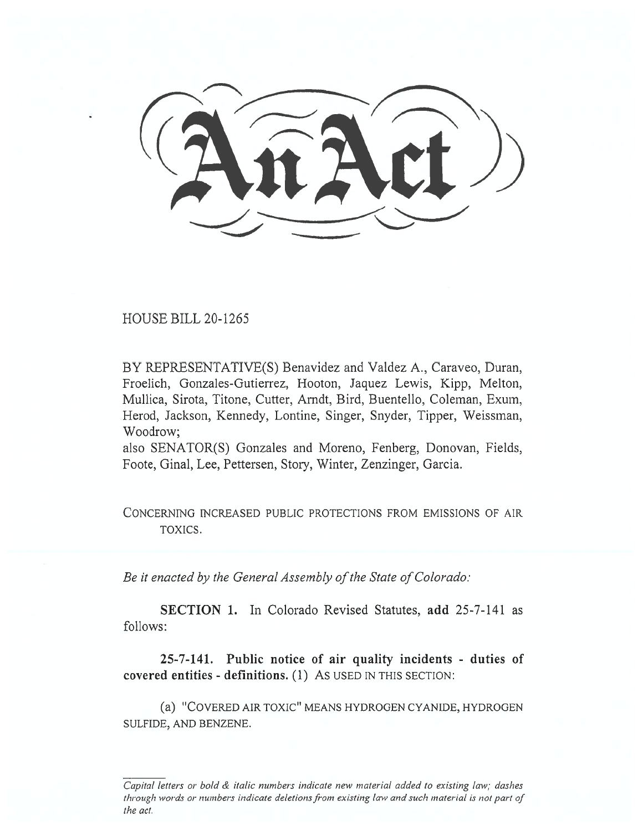HOUSE BILL 20-1265

BY REPRESENTATIVE(S) Benavidez and Valdez A., Caraveo, Duran, Froelich, Gonzales-Gutierrez, Hooton, Jaquez Lewis, Kipp, Melton, Mullica, Sirota, Titone, Cutter, Arndt, Bird, Buentello, Coleman, Exum, Herod, Jackson, Kennedy, Lontine, Singer, Snyder, Tipper, Weissman, Woodrow;

also SENATOR(S) Gonzales and Moreno, Fenberg, Donovan, Fields, Foote, Ginal, Lee, Pettersen, Story, Winter, Zenzinger, Garcia.

CONCERNING INCREASED PUBLIC PROTECTIONS FROM EMISSIONS OF AIR TOXICS.

*Be it enacted by the General Assembly of the State of Colorado:* 

**SECTION 1.** In Colorado Revised Statutes, **add** 25-7-141 as follows:

**25-7-141. Public notice of air quality incidents - duties of covered entities - definitions.** (1) As USED IN THIS SECTION:

(a) "COVERED AIR TOXIC" MEANS HYDROGEN CYANIDE, HYDROGEN SULFIDE, AND BENZENE.

*Capital letters or bold & italic numbers indicate new material added to existing law; dashes through words or numbers indicate deletions from existing law and such material is not part of the act.*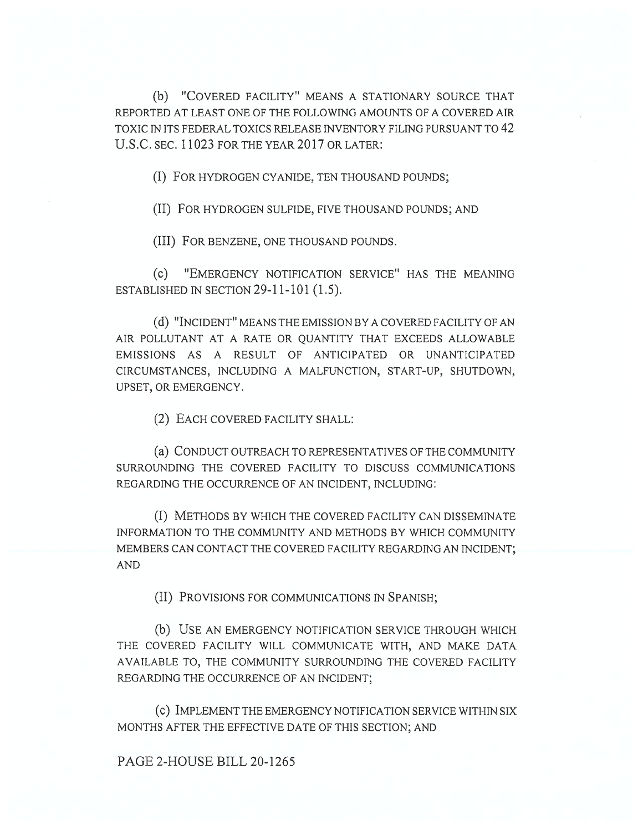(b) "COVERED FACILITY" MEANS A STATIONARY SOURCE THAT REPORTED AT LEAST ONE OF THE FOLLOWING AMOUNTS OF A COVERED AIR TOXIC IN ITS FEDERAL TOXICS RELEASE INVENTORY FILING PURSUANT TO 42 U.S.C. SEC. 11023 FOR THE YEAR 2017 OR LATER:

(I) FOR HYDROGEN CYANIDE, TEN THOUSAND POUNDS;

(II) FOR HYDROGEN SULFIDE, FIVE THOUSAND POUNDS; AND

(III) FOR BENZENE, ONE THOUSAND POUNDS.

(c) "EMERGENCY NOTIFICATION SERVICE" HAS THE MEANING ESTABLISHED IN SECTION 29-11-101 (1.5).

(d) "INCIDENT" MEANS THE EMISSION BY A COVERED FACILITY OF AN AIR POLLUTANT AT A RATE OR QUANTITY THAT EXCEEDS ALLOWABLE EMISSIONS AS A RESULT OF ANTICIPATED OR UNANTICIPATED CIRCUMSTANCES, INCLUDING A MALFUNCTION, START-UP, SHUTDOWN, UPSET, OR EMERGENCY.

(2) EACH COVERED FACILITY SHALL:

(a) CONDUCT OUTREACH TO REPRESENTATIVES OF THE COMMUNITY SURROUNDING THE COVERED FACILITY TO DISCUSS COMMUNICATIONS REGARDING THE OCCURRENCE OF AN INCIDENT, INCLUDING:

(I) METHODS BY WHICH THE COVERED FACILITY CAN DISSEMINATE INFORMATION TO THE COMMUNITY AND METHODS BY WHICH COMMUNITY MEMBERS CAN CONTACT THE COVERED FACILITY REGARDING AN INCIDENT; AND

(II) PROVISIONS FOR COMMUNICATIONS IN SPANISH;

(b) USE AN EMERGENCY NOTIFICATION SERVICE THROUGH WHICH THE COVERED FACILITY WILL COMMUNICATE WITH, AND MAKE DATA AVAILABLE TO, THE COMMUNITY SURROUNDING THE COVERED FACILITY REGARDING THE OCCURRENCE OF AN INCIDENT;

(c) IMPLEMENT THE EMERGENCY NOTIFICATION SERVICE WITHIN SIX MONTHS AFTER THE EFFECTIVE DATE OF THIS SECTION; AND

PAGE 2-HOUSE BILL 20-1265